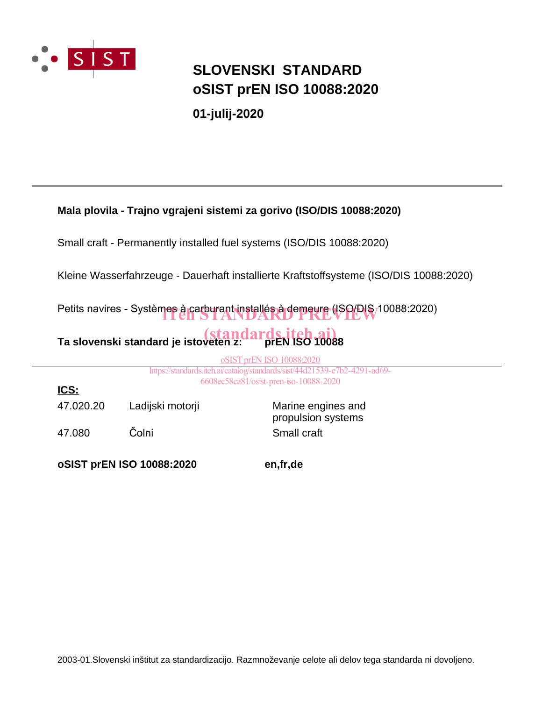

# **SLOVENSKI STANDARD oSIST prEN ISO 10088:2020**

**01-julij-2020**

## **Mala plovila - Trajno vgrajeni sistemi za gorivo (ISO/DIS 10088:2020)**

Small craft - Permanently installed fuel systems (ISO/DIS 10088:2020)

Kleine Wasserfahrzeuge - Dauerhaft installierte Kraftstoffsysteme (ISO/DIS 10088:2020)

Petits navires - Systèmes à carburant installés à demeure (ISO/DIS<sub>/</sub>10088:2020)

# Ta slovenski standard je istoveten z:<br>Ta slovenski standard je istoveten z: prEN ISO 10088

oSIST prEN ISO 10088:2020 https://standards.iteh.ai/catalog/standards/sist/44d21539-e7b2-4291-ad69- 6608ec58ca81/osist-pren-iso-10088-2020

47.020.20 Ladijski motorji Marine engines and

**ICS:**

propulsion systems 47.080 Čolni Small craft

**oSIST prEN ISO 10088:2020 en,fr,de**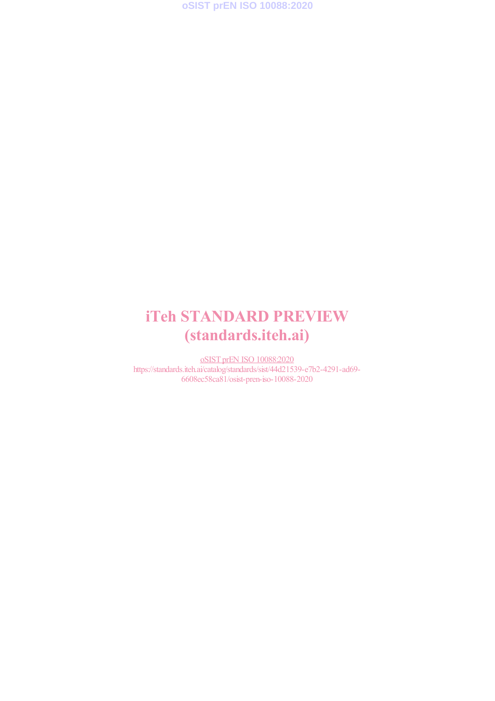**oSIST prEN ISO 10088:2020**

# iTeh STANDARD PREVIEW (standards.iteh.ai)

oSIST prEN ISO 10088:2020 https://standards.iteh.ai/catalog/standards/sist/44d21539-e7b2-4291-ad69- 6608ec58ca81/osist-pren-iso-10088-2020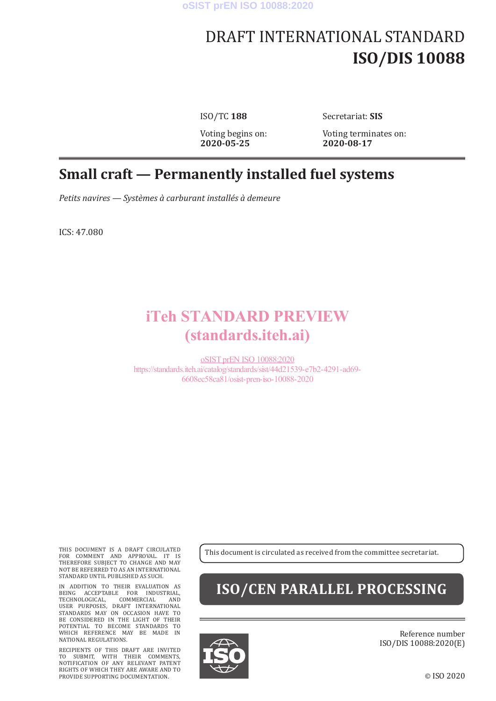# DRAFT INTERNATIONAL STANDARD **ISO/DIS 10088**

ISO/TC **188** Secretariat: **SIS**

Voting begins on: Voting terminates on:<br>2020-05-25 2020-08-17 **2020-05-25 2020-08-17**

## **Small craft — Permanently installed fuel systems**

*Petits navires — Systèmes à carburant installés à demeure*

ICS: 47.080

# iTeh STANDARD PREVIEW (standards.iteh.ai)

oSIST prEN ISO 10088:2020 https://standards.iteh.ai/catalog/standards/sist/44d21539-e7b2-4291-ad69- 6608ec58ca81/osist-pren-iso-10088-2020

THIS DOCUMENT IS A DRAFT CIRCULATED FOR COMMENT AND APPROVAL. IT IS THEREFORE SUBJECT TO CHANGE AND MAY NOT BE REFERRED TO AS AN INTERNATIONAL STANDARD UNTIL PUBLISHED AS SUCH.

IN ADDITION TO THEIR EVALUATION AS BEING ACCEPTABLE FOR INDUSTRIAL, TECHNOLOGICAL, COMMERCIAL AND USER PURPOSES, DRAFT INTERNATIONAL STANDARDS MAY ON OCCASION HAVE TO BE CONSIDERED IN THE LIGHT OF THEIR POTENTIAL TO BECOME STANDARDS TO WHICH REFERENCE MAY BE MADE IN NATIONAL REGULATIONS.

RECIPIENTS OF THIS DRAFT ARE INVITED TO SUBMIT, WITH THEIR COMMENTS, NOTIFICATION OF ANY RELEVANT PATENT RIGHTS OF WHICH THEY ARE AWARE AND TO PROVIDE SUPPORTING DOCUMENTATION.

This document is circulated as received from the committee secretariat.

## **ISO/CEN PARALLEL PROCESSING**



Reference number ISO/DIS 10088:2020(E)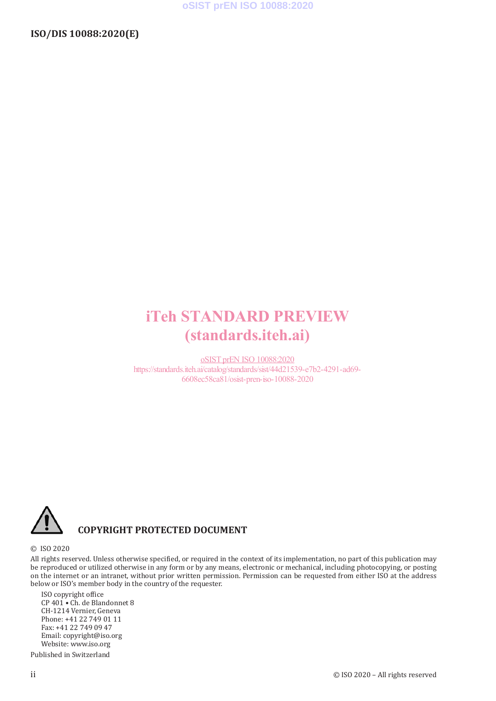# iTeh STANDARD PREVIEW (standards.iteh.ai)

oSIST prEN ISO 10088:2020 https://standards.iteh.ai/catalog/standards/sist/44d21539-e7b2-4291-ad69- 6608ec58ca81/osist-pren-iso-10088-2020



## **COPYRIGHT PROTECTED DOCUMENT**

#### © ISO 2020

All rights reserved. Unless otherwise specified, or required in the context of its implementation, no part of this publication may be reproduced or utilized otherwise in any form or by any means, electronic or mechanical, including photocopying, or posting on the internet or an intranet, without prior written permission. Permission can be requested from either ISO at the address below or ISO's member body in the country of the requester.

ISO copyright office CP 401 • Ch. de Blandonnet 8 CH-1214 Vernier, Geneva Phone: +41 22 749 01 11 Fax: +41 22 749 09 47 Email: copyright@iso.org Website: www.iso.org

Published in Switzerland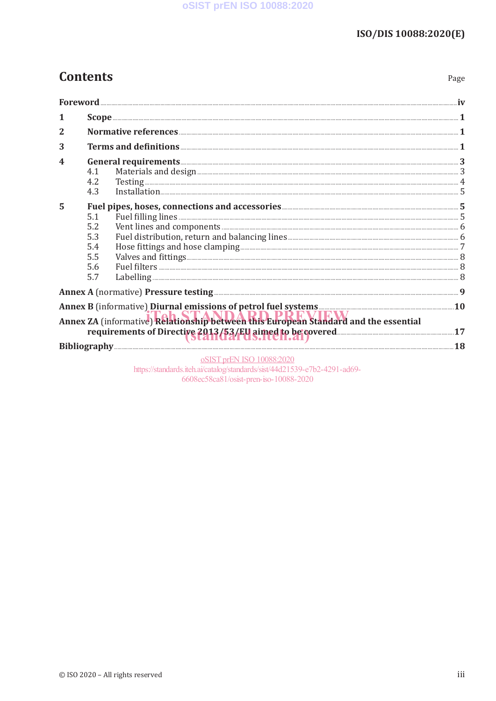Page

## **Contents**

| 1              |                                                                                                                                                                                                                                      |                                                                                                                                                                            |     |
|----------------|--------------------------------------------------------------------------------------------------------------------------------------------------------------------------------------------------------------------------------------|----------------------------------------------------------------------------------------------------------------------------------------------------------------------------|-----|
| $\overline{2}$ | Terms and definitions <b>contract to the contract of the contract of the contract of the contract of the contract of the contract of the contract of the contract of the contract of the contract of the contract of the contrac</b> |                                                                                                                                                                            |     |
| 3              |                                                                                                                                                                                                                                      |                                                                                                                                                                            |     |
| 4              | 4.1<br>4.2<br>4.3                                                                                                                                                                                                                    | General requirements 3<br>Testing 4.442                                                                                                                                    |     |
| 5              | 5.1<br>5.2<br>5.3<br>5.4<br>5.5<br>5.6<br>5.7                                                                                                                                                                                        | Vent lines and components <b>components</b> of 6                                                                                                                           |     |
|                |                                                                                                                                                                                                                                      |                                                                                                                                                                            |     |
|                |                                                                                                                                                                                                                                      | Annex B (informative) Diurnal emissions of petrol fuel systems 2000 and the essential Annex ZA (informative) Relationship between this European Standard and the essential | .18 |
|                |                                                                                                                                                                                                                                      | oSIST prEN ISO 10088:2020<br>https://standards.iteh.ai/catalog/standards/sist/44d21539-e7b2-4291-ad69-                                                                     |     |

6608ec58ca81/osist-pren-iso-10088-2020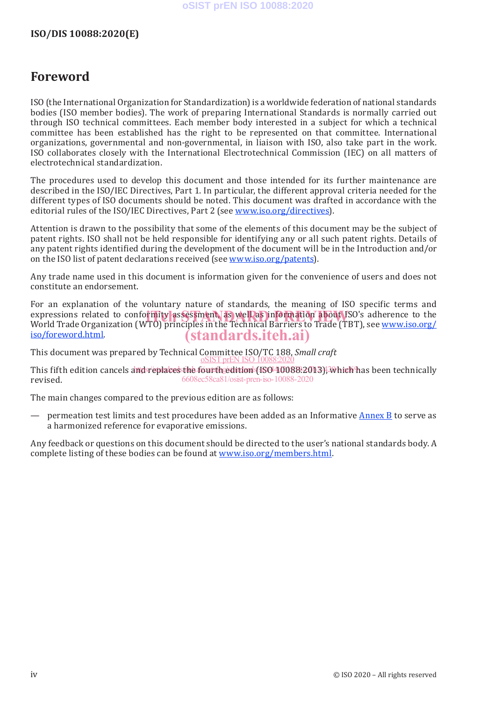## **Foreword**

ISO (the International Organization for Standardization) is a worldwide federation of national standards bodies (ISO member bodies). The work of preparing International Standards is normally carried out through ISO technical committees. Each member body interested in a subject for which a technical committee has been established has the right to be represented on that committee. International organizations, governmental and non-governmental, in liaison with ISO, also take part in the work. ISO collaborates closely with the International Electrotechnical Commission (IEC) on all matters of electrotechnical standardization.

The procedures used to develop this document and those intended for its further maintenance are described in the ISO/IEC Directives, Part 1. In particular, the different approval criteria needed for the different types of ISO documents should be noted. This document was drafted in accordance with the editorial rules of the ISO/IEC Directives, Part 2 (see www.iso.org/directives).

Attention is drawn to the possibility that some of the elements of this document may be the subject of patent rights. ISO shall not be held responsible for identifying any or all such patent rights. Details of any patent rights identified during the development of the document will be in the Introduction and/or on the ISO list of patent declarations received (see www.iso.org/patents).

Any trade name used in this document is information given for the convenience of users and does not constitute an endorsement.

For an explanation of the voluntary nature of standards, the meaning of ISO specific terms and expressions related to conformity assessment, as well as information about ISO's adherence to the<br>World Trade Organization (WTO) principles in the Technical Barriers to Trade (TBT), see www.iso.org/ World Trade Organization (WTO) principles in the Technical Barriers to Trade (TBT), see www.iso.org/ iso/foreword.html. (standards.iteh.ai)

This document was prepared by Technical Committee ISO/TC 188, *Small craft* oSIST prE

This fifth edition cancels and replaces the fourth edition (ISO 10088:2013), Which has been technically revised. 6608ec58ca81/osist-pren-iso-10088-2020

The main changes compared to the previous edition are as follows:

permeation test limits and test procedures have been added as an Informative Annex B to serve as a harmonized reference for evaporative emissions.

Any feedback or questions on this document should be directed to the user's national standards body. A complete listing of these bodies can be found at www.iso.org/members.html.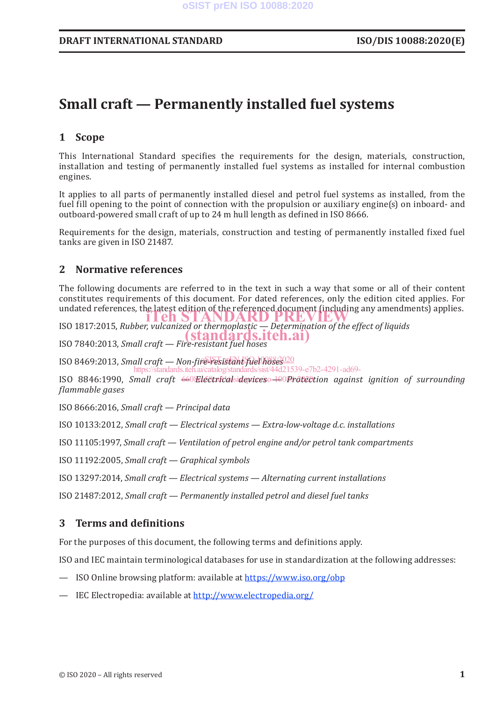## **Small craft — Permanently installed fuel systems**

## **1 Scope**

This International Standard specifies the requirements for the design, materials, construction, installation and testing of permanently installed fuel systems as installed for internal combustion engines.

It applies to all parts of permanently installed diesel and petrol fuel systems as installed, from the fuel fill opening to the point of connection with the propulsion or auxiliary engine(s) on inboard- and outboard-powered small craft of up to 24 m hull length as defined in ISO 8666.

Requirements for the design, materials, construction and testing of permanently installed fixed fuel tanks are given in ISO 21487.

#### **2 Normative references**

The following documents are referred to in the text in such a way that some or all of their content constitutes requirements of this document. For dated references, only the edition cited applies. For undated references, the latest edition of the referenced document (including any amendments) applies.

ISO 1817:2015, *Rubber, vulcanized or thermoplastic — Determination of the effect of liquids* ie latest equiton of the referenced document tinchiang<br>1 Ten STANDARD PREVIEW d of the moplastic — beterminal<br>(standards.iteh.ai)

ISO 7840:2013, *Small craft — Fire-resistant fuel hoses*

 $\text{ISO } 8469:2013, \text{Small } \text{craft} \longrightarrow \text{Non-fife} \rightarrow \text{ESS4} \rightarrow \text{NeP} \rightarrow \text{SSS4} \rightarrow \text{SSS4} \rightarrow \text{SSS4} \rightarrow \text{SSS4} \rightarrow \text{SSS4} \rightarrow \text{SSS4} \rightarrow \text{SSS4} \rightarrow \text{SSS4} \rightarrow \text{SSS4} \rightarrow \text{SSS4} \rightarrow \text{SSS4} \rightarrow \text{SSS4} \rightarrow \text{SSS4} \rightarrow \text{SSS4} \rightarrow \text{SSS4} \rightarrow \text{SSS4} \rightarrow \text{SSS4} \rightarrow \text{SSS4} \rightarrow \text{S$ 

https://standards.iteh.ai/catalog/standards/sist/44d21539-e7b2-4291-ad69-

ISO 8846:1990, Small craft <del>660 Electrical</del> sidevices 0 100 Protection against ignition of surrounding *flammable gases*

ISO 8666:2016, *Small craft — Principal data*

ISO 10133:2012, *Small craft — Electrical systems — Extra-low-voltage d.c. installations*

ISO 11105:1997, *Small craft — Ventilation of petrol engine and/or petrol tank compartments*

ISO 11192:2005, *Small craft — Graphical symbols*

ISO 13297:2014, *Small craft — Electrical systems — Alternating current installations*

ISO 21487:2012, *Small craft — Permanently installed petrol and diesel fuel tanks*

#### **3 Terms and definitions**

For the purposes of this document, the following terms and definitions apply.

ISO and IEC maintain terminological databases for use in standardization at the following addresses:

- ISO Online browsing platform: available at https://www.iso.org/obp
- IEC Electropedia: available at http://www.electropedia.org/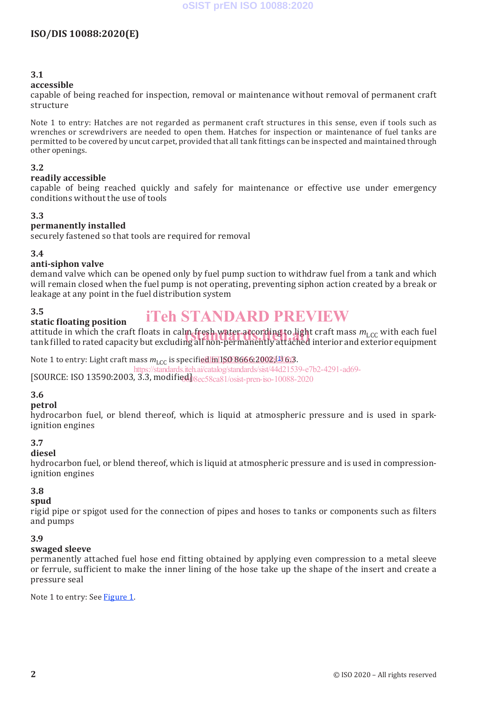#### **3.1**

#### **accessible**

capable of being reached for inspection, removal or maintenance without removal of permanent craft structure

Note 1 to entry: Hatches are not regarded as permanent craft structures in this sense, even if tools such as wrenches or screwdrivers are needed to open them. Hatches for inspection or maintenance of fuel tanks are permitted to be covered by uncut carpet, provided that all tank fittings can be inspected and maintained through other openings.

#### **3.2**

#### **readily accessible**

capable of being reached quickly and safely for maintenance or effective use under emergency conditions without the use of tools

#### **3.3**

#### **permanently installed**

**static floating position**

securely fastened so that tools are required for removal

#### **3.4**

#### **anti-siphon valve**

demand valve which can be opened only by fuel pump suction to withdraw fuel from a tank and which will remain closed when the fuel pump is not operating, preventing siphon action created by a break or leakage at any point in the fuel distribution system

#### **3.5**

## iTeh STANDARD PREVIEW

attitude in which the craft floats in calm fresh water according to light craft mass  $m_{\rm LCC}$  with each fuel<br>tank filled to rated canacity but excluding all non-permanently attached interior and exterior equipment tank filled to rated capacity but excluding all non-permanently attached interior and exterior equipment

Note 1 to entry: Light craft mass  $m_{\text{LCC}}$  is specified in ISO 8666:2002,[1] 6.3.

[SOURCE: ISO 13590:2003, 3.3, modified b<sub>8ec58ca81/osist-pren-iso-10088-2020</sub> https://standards.iteh.ai/catalog/standards/sist/44d21539-e7b2-4291-ad69-

#### **3.6**

#### **petrol**

hydrocarbon fuel, or blend thereof, which is liquid at atmospheric pressure and is used in sparkignition engines

#### **3.7**

#### **diesel**

hydrocarbon fuel, or blend thereof, which is liquid at atmospheric pressure and is used in compressionignition engines

#### **3.8**

#### **spud**

rigid pipe or spigot used for the connection of pipes and hoses to tanks or components such as filters and pumps

#### **3.9**

#### **swaged sleeve**

permanently attached fuel hose end fitting obtained by applying even compression to a metal sleeve or ferrule, sufficient to make the inner lining of the hose take up the shape of the insert and create a pressure seal

Note 1 to entry: See Figure 1.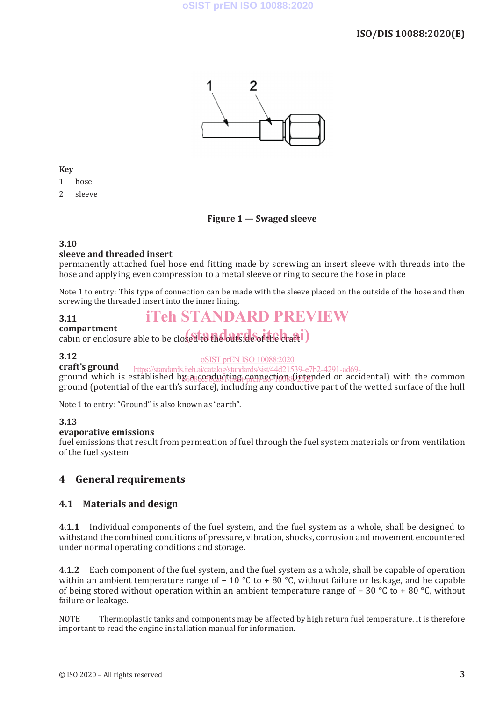

#### **Key**

- 1 hose
- 2 sleeve

#### **Figure 1 — Swaged sleeve**

#### **3.10**

#### **sleeve and threaded insert**

permanently attached fuel hose end fitting made by screwing an insert sleeve with threads into the hose and applying even compression to a metal sleeve or ring to secure the hose in place

Note 1 to entry: This type of connection can be made with the sleeve placed on the outside of the hose and then screwing the threaded insert into the inner lining.

#### **3.11** iTeh STANDARD PREVIEW

#### **compartment**

compartment<br>cabin or enclosure able to be closed to the outside of the craft<sup>1</sup>)

#### **3.12**

#### oSIST prEN ISO 10088:2020

**craft's ground** ground which is established by <sub>688</sub> conducting connection (intended or accidental) with the common ground (potential of the earth's surface), including any conductive part of the wetted surface of the hull https://standards.iteh.ai/catalog/standards/sist/44d21539-e7b2-4291-ad69-

Note 1 to entry: "Ground" is also known as "earth".

#### **3.13**

#### **evaporative emissions**

fuel emissions that result from permeation of fuel through the fuel system materials or from ventilation of the fuel system

### **4 General requirements**

#### **4.1 Materials and design**

**4.1.1** Individual components of the fuel system, and the fuel system as a whole, shall be designed to withstand the combined conditions of pressure, vibration, shocks, corrosion and movement encountered under normal operating conditions and storage.

**4.1.2** Each component of the fuel system, and the fuel system as a whole, shall be capable of operation within an ambient temperature range of - 10 °C to + 80 °C, without failure or leakage, and be capable of being stored without operation within an ambient temperature range of − 30 °C to + 80 °C, without failure or leakage.

NOTE Thermoplastic tanks and components may be affected by high return fuel temperature. It is therefore important to read the engine installation manual for information.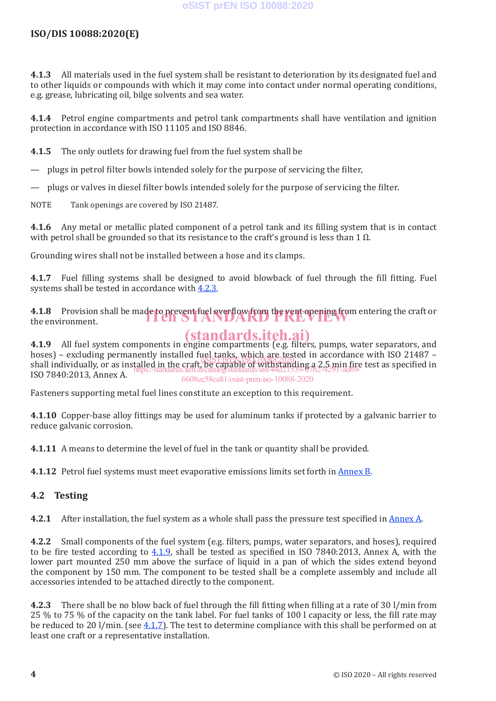**4.1.3** All materials used in the fuel system shall be resistant to deterioration by its designated fuel and to other liquids or compounds with which it may come into contact under normal operating conditions, e.g. grease, lubricating oil, bilge solvents and sea water.

**4.1.4** Petrol engine compartments and petrol tank compartments shall have ventilation and ignition protection in accordance with ISO 11105 and ISO 8846.

**4.1.5** The only outlets for drawing fuel from the fuel system shall be

— plugs in petrol filter bowls intended solely for the purpose of servicing the filter,

— plugs or valves in diesel filter bowls intended solely for the purpose of servicing the filter.

NOTE Tank openings are covered by ISO 21487.

**4.1.6** Any metal or metallic plated component of a petrol tank and its filling system that is in contact with petrol shall be grounded so that its resistance to the craft's ground is less than 1  $\Omega$ .

Grounding wires shall not be installed between a hose and its clamps.

**4.1.7** Fuel filling systems shall be designed to avoid blowback of fuel through the fill fitting. Fuel systems shall be tested in accordance with 4.2.3.

**4.1.8** Provision shall be made to prevent fuel overflow from the vent opening from entering the craft or the environment. the environment.

## (standards.iteh.ai)

**4.1.9** All fuel system components in engine compartments (e.g. filters, pumps, water separators, and hoses) – excluding permanently installed fuel tanks, which are tested in accordance with ISO 21487 – shall individually, or as installed in the craft, be capable of withstanding a 2,5 min fire test as specified in ISO 7840:2013, Annex A. <u>oSIST prEN ISO 10088:2020</u> https://standards.iteh.ai/catalog/standards/sist/44d21539-e7b2-4291-ad69- 6608ec58ca81/osist-pren-iso-10088-2020

Fasteners supporting metal fuel lines constitute an exception to this requirement.

**4.1.10** Copper-base alloy fittings may be used for aluminum tanks if protected by a galvanic barrier to reduce galvanic corrosion.

**4.1.11** A means to determine the level of fuel in the tank or quantity shall be provided.

**4.1.12** Petrol fuel systems must meet evaporative emissions limits set forth in Annex B.

#### **4.2 Testing**

**4.2.1** After installation, the fuel system as a whole shall pass the pressure test specified in Annex A.

**4.2.2** Small components of the fuel system (e.g. filters, pumps, water separators, and hoses), required to be fire tested according to 4.1.9, shall be tested as specified in ISO 7840:2013, Annex A, with the lower part mounted 250 mm above the surface of liquid in a pan of which the sides extend beyond the component by 150 mm. The component to be tested shall be a complete assembly and include all accessories intended to be attached directly to the component.

**4.2.3** There shall be no blow back of fuel through the fill fitting when filling at a rate of 30 l/min from 25 % to 75 % of the capacity on the tank label. For fuel tanks of 100 l capacity or less, the fill rate may be reduced to 20 l/min. (see 4.1.7). The test to determine compliance with this shall be performed on at least one craft or a representative installation.